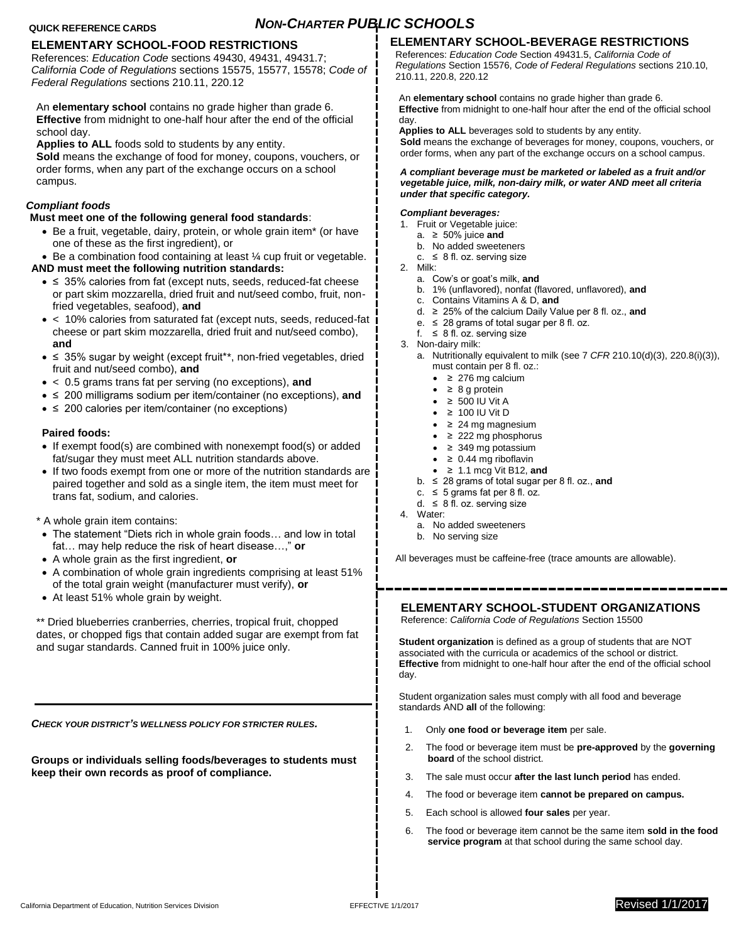# **QUICK REFERENCE CARDS** *NON-CHARTER PUBLIC SCHOOLS*

# **ELEMENTARY SCHOOL-FOOD RESTRICTIONS**

References: *Education Code* sections 49430, 49431, 49431.7; *California Code of Regulations* sections 15575, 15577, 15578; *Code of Federal Regulations* sections 210.11, 220.12

An **elementary school** contains no grade higher than grade 6. **Effective** from midnight to one-half hour after the end of the official school day.

**Applies to ALL** foods sold to students by any entity.

**Sold** means the exchange of food for money, coupons, vouchers, or order forms, when any part of the exchange occurs on a school campus.

# *Compliant foods*

## **Must meet one of the following general food standards**:

 Be a fruit, vegetable, dairy, protein, or whole grain item\* (or have one of these as the first ingredient), or

■ Be a combination food containing at least ¼ cup fruit or vegetable.

# **AND must meet the following nutrition standards:**

- ≤ 35% calories from fat (except nuts, seeds, reduced-fat cheese or part skim mozzarella, dried fruit and nut/seed combo, fruit, nonfried vegetables, seafood), **and**
- < 10% calories from saturated fat (except nuts, seeds, reduced-fat cheese or part skim mozzarella, dried fruit and nut/seed combo), **and**
- ≤ 35% sugar by weight (except fruit\*\*, non-fried vegetables, dried fruit and nut/seed combo), **and**
- < 0.5 grams trans fat per serving (no exceptions), **and**
- ≤ 200 milligrams sodium per item/container (no exceptions), **and**
- ≤ 200 calories per item/container (no exceptions)

## **Paired foods:**

- If exempt food(s) are combined with nonexempt food(s) or added fat/sugar they must meet ALL nutrition standards above.
- If two foods exempt from one or more of the nutrition standards are paired together and sold as a single item, the item must meet for trans fat, sodium, and calories.

\* A whole grain item contains:

- The statement "Diets rich in whole grain foods… and low in total fat… may help reduce the risk of heart disease…," **or**
- A whole grain as the first ingredient, **or**
- A combination of whole grain ingredients comprising at least 51% of the total grain weight (manufacturer must verify), **or**
- At least 51% whole grain by weight.

\*\* Dried blueberries cranberries, cherries, tropical fruit, chopped dates, or chopped figs that contain added sugar are exempt from fat and sugar standards. Canned fruit in 100% juice only.

*CHECK YOUR DISTRICT'S WELLNESS POLICY FOR STRICTER RULES.*

**Groups or individuals selling foods/beverages to students must keep their own records as proof of compliance.**

# **ELEMENTARY SCHOOL-BEVERAGE RESTRICTIONS**

References: *Education Code* Section 49431.5, *California Code of Regulations* Section 15576, *Code of Federal Regulations* sections 210.10, 210.11, 220.8, 220.12

An **elementary school** contains no grade higher than grade 6. **Effective** from midnight to one-half hour after the end of the official school day.

**Applies to ALL** beverages sold to students by any entity.

**Sold** means the exchange of beverages for money, coupons, vouchers, or order forms, when any part of the exchange occurs on a school campus.

#### *A compliant beverage must be marketed or labeled as a fruit and/or vegetable juice, milk, non-dairy milk, or water AND meet all criteria under that specific category.*

## *Compliant beverages:*

- 1. Fruit or Vegetable juice:
	- a. ≥ 50% juice **and**
	- b. No added sweeteners c.  $\leq 8$  fl. oz. serving size
- 2. Milk:
	-
	- a. Cow's or goat's milk, **and** b. 1% (unflavored), nonfat (flavored, unflavored), **and**
	- c. Contains Vitamins A & D, **and**
	- d. ≥ 25% of the calcium Daily Value per 8 fl. oz., **and**
	- e. ≤ 28 grams of total sugar per 8 fl. oz.
	- f.  $\leq 8$  fl. oz. serving size
- 3. Non-dairy milk:
	- a. Nutritionally equivalent to milk (see 7 *CFR* 210.10(d)(3), 220.8(i)(3)), must contain per 8 fl. oz.:
		- ≥ 276 mg calcium
		- $\bullet$  ≥ 8 g protein
		- $\bullet$  ≥ 500 IU Vit A
		- ≥ 100 IU Vit D
		- $\bullet$   $\geq$  24 mg magnesium
		- $\bullet$   $\geq$  222 mg phosphorus
		- ≥ 349 mg potassium
		- $\bullet$   $\geq$  0.44 mg riboflavin
		- ≥ 1.1 mcg Vit B12, **and**
	- b. ≤ 28 grams of total sugar per 8 fl. oz., **and**
	- c.  $\leq$  5 grams fat per 8 fl. oz.
	- d.  $≤$  8 fl. oz. serving size
- 4. Water:
	- a. No added sweeteners
	- b. No serving size

All beverages must be caffeine-free (trace amounts are allowable).

**ELEMENTARY SCHOOL-STUDENT ORGANIZATIONS** Reference: *California Code of Regulations* Section 15500

**Student organization** is defined as a group of students that are NOT associated with the curricula or academics of the school or district. **Effective** from midnight to one-half hour after the end of the official school day.

Student organization sales must comply with all food and beverage standards AND **all** of the following:

- 1. Only **one food or beverage item** per sale.
- 2. The food or beverage item must be **pre-approved** by the **governing board** of the school district.
- 3. The sale must occur **after the last lunch period** has ended.
- 4. The food or beverage item **cannot be prepared on campus.**
- 5. Each school is allowed **four sales** per year.
- 6. The food or beverage item cannot be the same item **sold in the food service program** at that school during the same school day.